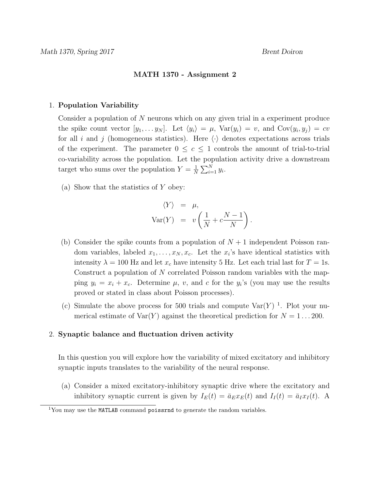## MATH 1370 - Assignment 2

## 1. Population Variability

Consider a population of N neurons which on any given trial in a experiment produce the spike count vector  $[y_1, \ldots y_N]$ . Let  $\langle y_i \rangle = \mu$ ,  $Var(y_i) = v$ , and  $Cov(y_i, y_j) = cv$ for all i and j (homogeneous statistics). Here  $\langle \cdot \rangle$  denotes expectations across trials of the experiment. The parameter  $0 \leq c \leq 1$  controls the amount of trial-to-trial co-variability across the population. Let the population activity drive a downstream target who sums over the population  $Y = \frac{1}{N}$  $\frac{1}{N} \sum_{i=1}^{N} y_i$ .

(a) Show that the statistics of Y obey:

$$
\langle Y \rangle = \mu,
$$
  
 
$$
Var(Y) = v \left( \frac{1}{N} + c \frac{N-1}{N} \right).
$$

- (b) Consider the spike counts from a population of  $N+1$  independent Poisson random variables, labeled  $x_1, \ldots, x_N, x_c$ . Let the  $x_i$ 's have identical statistics with intensity  $\lambda = 100$  Hz and let  $x_c$  have intensity 5 Hz. Let each trial last for  $T = 1$ s. Construct a population of N correlated Poisson random variables with the mapping  $y_i = x_i + x_c$ . Determine  $\mu$ , v, and c for the  $y_i$ 's (you may use the results proved or stated in class about Poisson processes).
- (c) Simulate the above process for 500 trials and compute  $Var(Y)^{-1}$ . Plot your numerical estimate of  $\text{Var}(Y)$  against the theoretical prediction for  $N = 1 \dots 200$ .

## 2. Synaptic balance and fluctuation driven activity

In this question you will explore how the variability of mixed excitatory and inhibitory synaptic inputs translates to the variability of the neural response.

(a) Consider a mixed excitatory-inhibitory synaptic drive where the excitatory and inhibitory synaptic current is given by  $I_E(t) = \bar{a}_E x_E(t)$  and  $I_I(t) = \bar{a}_I x_I(t)$ . A

 $\overline{^{1}$ You may use the MATLAB command poissrnd to generate the random variables.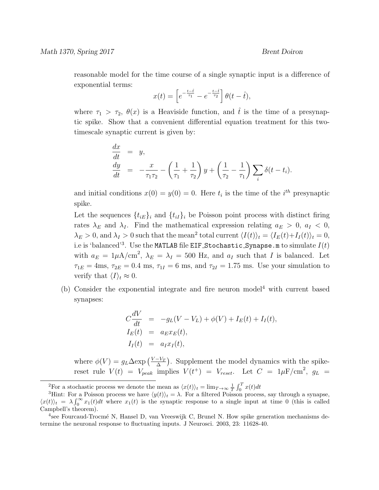reasonable model for the time course of a single synaptic input is a difference of exponential terms:

$$
x(t) = \left[e^{-\frac{t-\hat{t}}{\tau_1}} - e^{-\frac{t-\hat{t}}{\tau_2}}\right] \theta(t-\hat{t}),
$$

where  $\tau_1 > \tau_2$ ,  $\theta(x)$  is a Heaviside function, and  $\hat{t}$  is the time of a presynaptic spike. Show that a convenient differential equation treatment for this twotimescale synaptic current is given by:

$$
\frac{dx}{dt} = y, \n \frac{dy}{dt} = -\frac{x}{\tau_1 \tau_2} - \left(\frac{1}{\tau_1} + \frac{1}{\tau_2}\right)y + \left(\frac{1}{\tau_2} - \frac{1}{\tau_1}\right)\sum_i \delta(t - t_i).
$$

and initial conditions  $x(0) = y(0) = 0$ . Here  $t_i$  is the time of the  $i^{th}$  presynaptic spike.

Let the sequences  $\{t_{iE}\}_i$  and  $\{t_{iI}\}_i$  be Poisson point process with distinct firing rates  $\lambda_E$  and  $\lambda_I$ . Find the mathematical expression relating  $a_E > 0$ ,  $a_I < 0$ ,  $\lambda_E > 0$ , and  $\lambda_I > 0$  such that the mean<sup>2</sup> total current  $\langle I(t) \rangle_t = \langle I_E(t) + I_I(t) \rangle_t = 0$ , i.e is 'balanced'<sup>3</sup>. Use the <code>MATLAB</code> file <code>EIF\_Stochastic\_Synapse.m</code> to simulate  $I(t)$ with  $a_E = 1\mu\text{A/cm}^2$ ,  $\lambda_E = \lambda_I = 500$  Hz, and  $a_I$  such that I is balanced. Let  $\tau_{1E} = 4 \text{ms}, \tau_{2E} = 0.4 \text{ ms}, \tau_{1I} = 6 \text{ ms}, \text{ and } \tau_{2I} = 1.75 \text{ ms}.$  Use your simulation to verify that  $\langle I \rangle_t \approx 0$ .

(b) Consider the exponential integrate and fire neuron model<sup>4</sup> with current based synapses:

$$
C\frac{dV}{dt} = -g_L(V - V_L) + \phi(V) + I_E(t) + I_I(t),
$$
  
\n
$$
I_E(t) = a_E x_E(t),
$$
  
\n
$$
I_I(t) = a_I x_I(t),
$$

where  $\phi(V) = g_L \Delta \exp \left( \frac{V - V_T}{\Delta} \right)$  $\frac{-V_T}{\Delta}$ ). Supplement the model dynamics with the spikereset rule  $V(t) = V_{peak}$  implies  $V(t^+) = V_{reset}$ . Let  $C = 1 \mu \text{F/cm}^2$ ,  $g_L =$ 

<sup>&</sup>lt;sup>2</sup>For a stochastic process we denote the mean as  $\langle x(t) \rangle_t = \lim_{T \to \infty} \frac{1}{T} \int_0^T x(t) dt$ 

<sup>&</sup>lt;sup>3</sup>Hint: For a Poisson process we have  $\langle y(t) \rangle_t = \lambda$ . For a filtered Poisson process, say through a synapse,  $\langle x(t) \rangle_t = \lambda \int_0^\infty x_1(t) dt$  where  $x_1(t)$  is the synaptic response to a single input at time 0 (this is called Campbell's theorem).

<sup>&</sup>lt;sup>4</sup>see Fourcaud-Trocmé N, Hansel D, van Vreeswijk C, Brunel N. How spike generation mechanisms determine the neuronal response to fluctuating inputs. J Neurosci. 2003, 23: 11628-40.